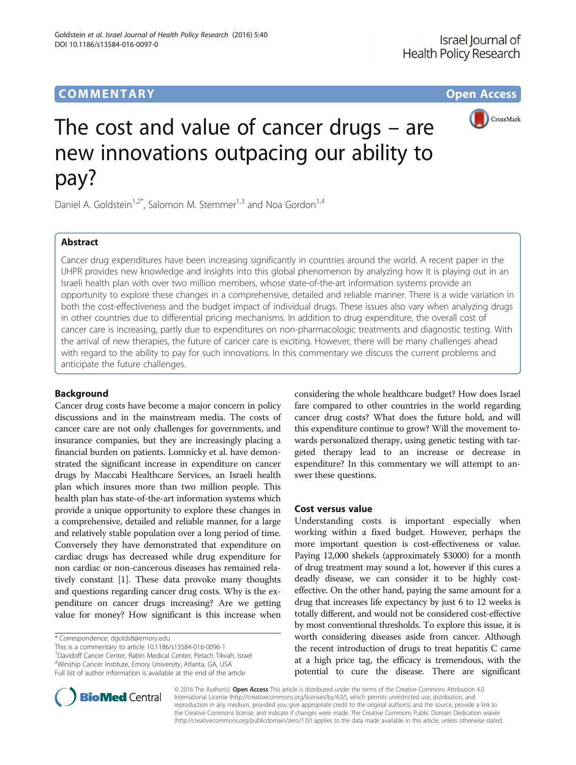

# The cost and value of cancer drugs – are new innovations outpacing our ability to pay?

Daniel A. Goldstein<sup>1,2\*</sup>, Salomon M. Stemmer<sup>1,3</sup> and Noa Gordon<sup>1,4</sup>

# Abstract

Cancer drug expenditures have been increasing significantly in countries around the world. A recent paper in the IJHPR provides new knowledge and insights into this global phenomenon by analyzing how it is playing out in an Israeli health plan with over two million members, whose state-of-the-art information systems provide an opportunity to explore these changes in a comprehensive, detailed and reliable manner. There is a wide variation in both the cost-effectiveness and the budget impact of individual drugs. These issues also vary when analyzing drugs in other countries due to differential pricing mechanisms. In addition to drug expenditure, the overall cost of cancer care is increasing, partly due to expenditures on non-pharmacologic treatments and diagnostic testing. With the arrival of new therapies, the future of cancer care is exciting. However, there will be many challenges ahead with regard to the ability to pay for such innovations. In this commentary we discuss the current problems and anticipate the future challenges.

## Background

Cancer drug costs have become a major concern in policy discussions and in the mainstream media. The costs of cancer care are not only challenges for governments, and insurance companies, but they are increasingly placing a financial burden on patients. Lomnicky et al. have demonstrated the significant increase in expenditure on cancer drugs by Maccabi Healthcare Services, an Israeli health plan which insures more than two million people. This health plan has state-of-the-art information systems which provide a unique opportunity to explore these changes in a comprehensive, detailed and reliable manner, for a large and relatively stable population over a long period of time. Conversely they have demonstrated that expenditure on cardiac drugs has decreased while drug expenditure for non cardiac or non-cancerous diseases has remained relatively constant [\[1\]](#page-2-0). These data provoke many thoughts and questions regarding cancer drug costs. Why is the expenditure on cancer drugs increasing? Are we getting value for money? How significant is this increase when

\* Correspondence: [dgolds8@emory.edu](mailto:dgolds8@emory.edu)

This is a commentary to article 10.1186/s13584-016-0096-1 1 Davidoff Cancer Center, Rabin Medical Center, Petach Tikvah, Israel <sup>2</sup>Winship Cancer Institute, Emory University, Atlanta, GA, USA

Full list of author information is available at the end of the article

considering the whole healthcare budget? How does Israel fare compared to other countries in the world regarding cancer drug costs? What does the future hold, and will this expenditure continue to grow? Will the movement towards personalized therapy, using genetic testing with targeted therapy lead to an increase or decrease in expenditure? In this commentary we will attempt to answer these questions.

## Cost versus value

Understanding costs is important especially when working within a fixed budget. However, perhaps the more important question is cost-effectiveness or value. Paying 12,000 shekels (approximately \$3000) for a month of drug treatment may sound a lot, however if this cures a deadly disease, we can consider it to be highly costeffective. On the other hand, paying the same amount for a drug that increases life expectancy by just 6 to 12 weeks is totally different, and would not be considered cost-effective by most conventional thresholds. To explore this issue, it is worth considering diseases aside from cancer. Although the recent introduction of drugs to treat hepatitis C came at a high price tag, the efficacy is tremendous, with the potential to cure the disease. There are significant



© 2016 The Author(s). Open Access This article is distributed under the terms of the Creative Commons Attribution 4.0 International License [\(http://creativecommons.org/licenses/by/4.0/](http://creativecommons.org/licenses/by/4.0/)), which permits unrestricted use, distribution, and reproduction in any medium, provided you give appropriate credit to the original author(s) and the source, provide a link to the Creative Commons license, and indicate if changes were made. The Creative Commons Public Domain Dedication waiver [\(http://creativecommons.org/publicdomain/zero/1.0/](http://creativecommons.org/publicdomain/zero/1.0/)) applies to the data made available in this article, unless otherwise stated.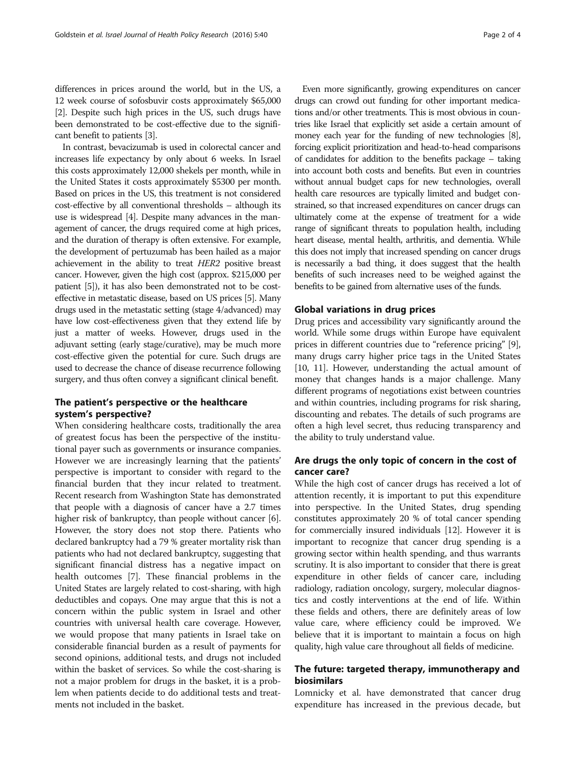differences in prices around the world, but in the US, a 12 week course of sofosbuvir costs approximately \$65,000 [[2](#page-2-0)]. Despite such high prices in the US, such drugs have been demonstrated to be cost-effective due to the significant benefit to patients [[3\]](#page-2-0).

In contrast, bevacizumab is used in colorectal cancer and increases life expectancy by only about 6 weeks. In Israel this costs approximately 12,000 shekels per month, while in the United States it costs approximately \$5300 per month. Based on prices in the US, this treatment is not considered cost-effective by all conventional thresholds – although its use is widespread [\[4\]](#page-2-0). Despite many advances in the management of cancer, the drugs required come at high prices, and the duration of therapy is often extensive. For example, the development of pertuzumab has been hailed as a major achievement in the ability to treat HER2 positive breast cancer. However, given the high cost (approx. \$215,000 per patient [\[5](#page-3-0)]), it has also been demonstrated not to be costeffective in metastatic disease, based on US prices [[5](#page-3-0)]. Many drugs used in the metastatic setting (stage 4/advanced) may have low cost-effectiveness given that they extend life by just a matter of weeks. However, drugs used in the adjuvant setting (early stage/curative), may be much more cost-effective given the potential for cure. Such drugs are used to decrease the chance of disease recurrence following surgery, and thus often convey a significant clinical benefit.

## The patient's perspective or the healthcare system's perspective?

When considering healthcare costs, traditionally the area of greatest focus has been the perspective of the institutional payer such as governments or insurance companies. However we are increasingly learning that the patients' perspective is important to consider with regard to the financial burden that they incur related to treatment. Recent research from Washington State has demonstrated that people with a diagnosis of cancer have a 2.7 times higher risk of bankruptcy, than people without cancer [[6](#page-3-0)]. However, the story does not stop there. Patients who declared bankruptcy had a 79 % greater mortality risk than patients who had not declared bankruptcy, suggesting that significant financial distress has a negative impact on health outcomes [\[7](#page-3-0)]. These financial problems in the United States are largely related to cost-sharing, with high deductibles and copays. One may argue that this is not a concern within the public system in Israel and other countries with universal health care coverage. However, we would propose that many patients in Israel take on considerable financial burden as a result of payments for second opinions, additional tests, and drugs not included within the basket of services. So while the cost-sharing is not a major problem for drugs in the basket, it is a problem when patients decide to do additional tests and treatments not included in the basket.

Even more significantly, growing expenditures on cancer drugs can crowd out funding for other important medications and/or other treatments. This is most obvious in countries like Israel that explicitly set aside a certain amount of money each year for the funding of new technologies [\[8\]](#page-3-0), forcing explicit prioritization and head-to-head comparisons of candidates for addition to the benefits package – taking into account both costs and benefits. But even in countries without annual budget caps for new technologies, overall health care resources are typically limited and budget constrained, so that increased expenditures on cancer drugs can ultimately come at the expense of treatment for a wide range of significant threats to population health, including heart disease, mental health, arthritis, and dementia. While this does not imply that increased spending on cancer drugs is necessarily a bad thing, it does suggest that the health benefits of such increases need to be weighed against the benefits to be gained from alternative uses of the funds.

### Global variations in drug prices

Drug prices and accessibility vary significantly around the world. While some drugs within Europe have equivalent prices in different countries due to "reference pricing" [[9](#page-3-0)], many drugs carry higher price tags in the United States [[10](#page-3-0), [11](#page-3-0)]. However, understanding the actual amount of money that changes hands is a major challenge. Many different programs of negotiations exist between countries and within countries, including programs for risk sharing, discounting and rebates. The details of such programs are often a high level secret, thus reducing transparency and the ability to truly understand value.

## Are drugs the only topic of concern in the cost of cancer care?

While the high cost of cancer drugs has received a lot of attention recently, it is important to put this expenditure into perspective. In the United States, drug spending constitutes approximately 20 % of total cancer spending for commercially insured individuals [\[12\]](#page-3-0). However it is important to recognize that cancer drug spending is a growing sector within health spending, and thus warrants scrutiny. It is also important to consider that there is great expenditure in other fields of cancer care, including radiology, radiation oncology, surgery, molecular diagnostics and costly interventions at the end of life. Within these fields and others, there are definitely areas of low value care, where efficiency could be improved. We believe that it is important to maintain a focus on high quality, high value care throughout all fields of medicine.

# The future: targeted therapy, immunotherapy and biosimilars

Lomnicky et al. have demonstrated that cancer drug expenditure has increased in the previous decade, but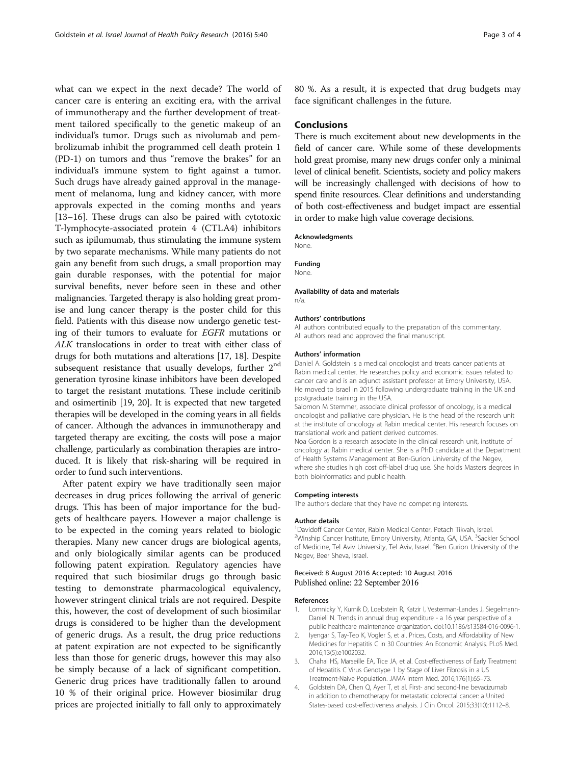<span id="page-2-0"></span>what can we expect in the next decade? The world of cancer care is entering an exciting era, with the arrival of immunotherapy and the further development of treatment tailored specifically to the genetic makeup of an individual's tumor. Drugs such as nivolumab and pembrolizumab inhibit the programmed cell death protein 1 (PD-1) on tumors and thus "remove the brakes" for an individual's immune system to fight against a tumor. Such drugs have already gained approval in the management of melanoma, lung and kidney cancer, with more approvals expected in the coming months and years [[13](#page-3-0)–[16](#page-3-0)]. These drugs can also be paired with cytotoxic T-lymphocyte-associated protein 4 (CTLA4) inhibitors such as ipilumumab, thus stimulating the immune system by two separate mechanisms. While many patients do not gain any benefit from such drugs, a small proportion may gain durable responses, with the potential for major survival benefits, never before seen in these and other malignancies. Targeted therapy is also holding great promise and lung cancer therapy is the poster child for this field. Patients with this disease now undergo genetic testing of their tumors to evaluate for EGFR mutations or ALK translocations in order to treat with either class of drugs for both mutations and alterations [[17](#page-3-0), [18](#page-3-0)]. Despite subsequent resistance that usually develops, further  $2<sup>nd</sup>$ generation tyrosine kinase inhibitors have been developed to target the resistant mutations. These include ceritinib and osimertinib [\[19, 20\]](#page-3-0). It is expected that new targeted therapies will be developed in the coming years in all fields of cancer. Although the advances in immunotherapy and targeted therapy are exciting, the costs will pose a major challenge, particularly as combination therapies are introduced. It is likely that risk-sharing will be required in order to fund such interventions.

After patent expiry we have traditionally seen major decreases in drug prices following the arrival of generic drugs. This has been of major importance for the budgets of healthcare payers. However a major challenge is to be expected in the coming years related to biologic therapies. Many new cancer drugs are biological agents, and only biologically similar agents can be produced following patent expiration. Regulatory agencies have required that such biosimilar drugs go through basic testing to demonstrate pharmacological equivalency, however stringent clinical trials are not required. Despite this, however, the cost of development of such biosimilar drugs is considered to be higher than the development of generic drugs. As a result, the drug price reductions at patent expiration are not expected to be significantly less than those for generic drugs, however this may also be simply because of a lack of significant competition. Generic drug prices have traditionally fallen to around 10 % of their original price. However biosimilar drug prices are projected initially to fall only to approximately 80 %. As a result, it is expected that drug budgets may face significant challenges in the future.

## **Conclusions**

There is much excitement about new developments in the field of cancer care. While some of these developments hold great promise, many new drugs confer only a minimal level of clinical benefit. Scientists, society and policy makers will be increasingly challenged with decisions of how to spend finite resources. Clear definitions and understanding of both cost-effectiveness and budget impact are essential in order to make high value coverage decisions.

#### Acknowledgments

None.

#### Funding

None.

#### Availability of data and materials n/a.

#### Authors' contributions

All authors contributed equally to the preparation of this commentary. All authors read and approved the final manuscript.

#### Authors' information

Daniel A. Goldstein is a medical oncologist and treats cancer patients at Rabin medical center. He researches policy and economic issues related to cancer care and is an adjunct assistant professor at Emory University, USA. He moved to Israel in 2015 following undergraduate training in the UK and postgraduate training in the USA.

Salomon M Stemmer, associate clinical professor of oncology, is a medical oncologist and palliative care physician. He is the head of the research unit at the institute of oncology at Rabin medical center. His research focuses on translational work and patient derived outcomes.

Noa Gordon is a research associate in the clinical research unit, institute of oncology at Rabin medical center. She is a PhD candidate at the Department of Health Systems Management at Ben-Gurion University of the Negev, where she studies high cost off-label drug use. She holds Masters degrees in both bioinformatics and public health.

#### Competing interests

The authors declare that they have no competing interests.

#### Author details

<sup>1</sup>Davidoff Cancer Center, Rabin Medical Center, Petach Tikvah, Israel. <sup>2</sup>Winship Cancer Institute, Emory University, Atlanta, GA, USA. <sup>3</sup>Sackler School of Medicine, Tel Aviv University, Tel Aviv, Israel. <sup>4</sup>Ben Gurion University of the Negev, Beer Sheva, Israel.

#### Received: 8 August 2016 Accepted: 10 August 2016 Published online: 22 September 2016

#### References

- Lomnicky Y, Kurnik D, Loebstein R, Katzir I, Vesterman-Landes J, Siegelmann-Danieli N. Trends in annual drug expenditure - a 16 year perspective of a public healthcare maintenance organization. doi[:10.1186/s13584-016-0096-1.](http://dx.doi.org/10.1186/s13584-016-0096-1)
- 2. Iyengar S, Tay-Teo K, Vogler S, et al. Prices, Costs, and Affordability of New Medicines for Hepatitis C in 30 Countries: An Economic Analysis. PLoS Med. 2016;13(5):e1002032.
- 3. Chahal HS, Marseille EA, Tice JA, et al. Cost-effectiveness of Early Treatment of Hepatitis C Virus Genotype 1 by Stage of Liver Fibrosis in a US Treatment-Naive Population. JAMA Intern Med. 2016;176(1):65–73.
- 4. Goldstein DA, Chen Q, Ayer T, et al. First- and second-line bevacizumab in addition to chemotherapy for metastatic colorectal cancer: a United States-based cost-effectiveness analysis. J Clin Oncol. 2015;33(10):1112–8.